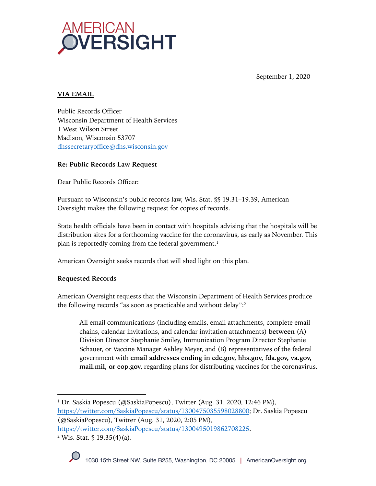

September 1, 2020

# **VIA EMAIL**

Public Records Officer Wisconsin Department of Health Services 1 West Wilson Street Madison, Wisconsin 53707 dhssecretaryoffice@dhs.wisconsin.gov

## **Re: Public Records Law Request**

Dear Public Records Officer:

Pursuant to Wisconsin's public records law, Wis. Stat. §§ 19.31–19.39, American Oversight makes the following request for copies of records.

State health officials have been in contact with hospitals advising that the hospitals will be distribution sites for a forthcoming vaccine for the coronavirus, as early as November. This plan is reportedly coming from the federal government.<sup>1</sup>

American Oversight seeks records that will shed light on this plan.

#### **Requested Records**

American Oversight requests that the Wisconsin Department of Health Services produce the following records "as soon as practicable and without delay": 2

All email communications (including emails, email attachments, complete email chains, calendar invitations, and calendar invitation attachments) **between** (A) Division Director Stephanie Smiley, Immunization Program Director Stephanie Schauer, or Vaccine Manager Ashley Meyer, and (B) representatives of the federal government with **email addresses ending in cdc.gov, hhs.gov, fda.gov, va.gov, mail.mil, or eop.gov,** regarding plans for distributing vaccines for the coronavirus.

<sup>&</sup>lt;sup>1</sup> Dr. Saskia Popescu (@SaskiaPopescu), Twitter (Aug. 31, 2020, 12:46 PM), https://twitter.com/SaskiaPopescu/status/1300475035598028800; Dr. Saskia Popescu (@SaskiaPopescu), Twitter (Aug. 31, 2020, 2:05 PM), https://twitter.com/SaskiaPopescu/status/1300495019862708225.  $2$  Wis. Stat.  $\frac{6}{5}$  19.35(4)(a).

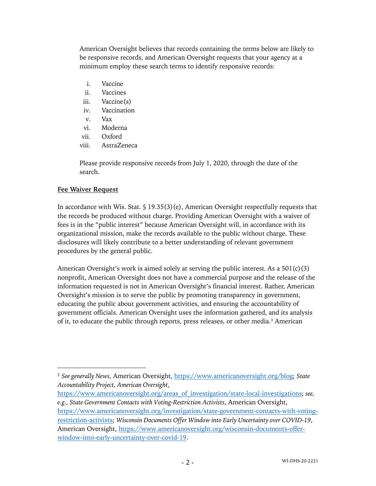American Oversight believes that records containing the terms below are likely to be responsive records, and American Oversight requests that your agency at a minimum employ these search terms to identify responsive records:

- i. Vaccine
- ii. Vaccines
- iii. Vaccine(s)
- iv. Vaccination
- v. Vax
- vi. Moderna
- vii. Oxford
- viii. AstraZeneca

Please provide responsive records from July 1, 2020, through the date of the search.

## **Fee Waiver Request**

In accordance with Wis. Stat. § 19.35(3)(e), American Oversight respectfully requests that the records be produced without charge. Providing American Oversight with a waiver of fees is in the "public interest" because American Oversight will, in accordance with its organizational mission, make the records available to the public without charge. These disclosures will likely contribute to a better understanding of relevant government procedures by the general public.

American Oversight's work is aimed solely at serving the public interest. As a  $501(c)(3)$ nonprofit, American Oversight does not have a commercial purpose and the release of the information requested is not in American Oversight's financial interest. Rather, American Oversight's mission is to serve the public by promoting transparency in government, educating the public about government activities, and ensuring the accountability of government officials. American Oversight uses the information gathered, and its analysis of it, to educate the public through reports, press releases, or other media.3 American

- https://www.americanoversight.org/areas\_of\_investigation/state-local-investigations; *see, e.g., State Government Contacts with Voting-Restriction Activists*, American Oversight,
- https://www.americanoversight.org/investigation/state-government-contacts-with-votingrestriction-activists; *Wisconsin Documents Offer Window into Early Uncertainty over COVID-19*, American Oversight, https://www.americanoversight.org/wisconsin-documents-offerwindow-into-early-uncertainty-over-covid-19.

<sup>3</sup> *See generally News*, American Oversight, https://www.americanoversight.org/blog; *State Accountability Project, American Oversight*,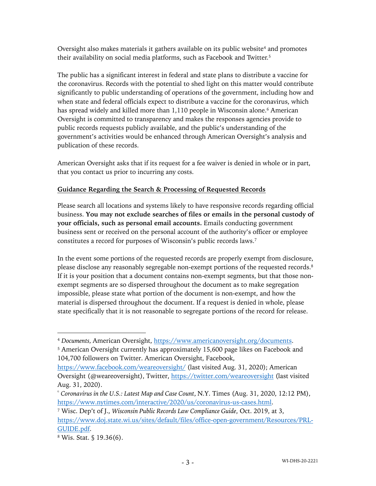Oversight also makes materials it gathers available on its public website<sup>4</sup> and promotes their availability on social media platforms, such as Facebook and Twitter.<sup>5</sup>

The public has a significant interest in federal and state plans to distribute a vaccine for the coronavirus. Records with the potential to shed light on this matter would contribute significantly to public understanding of operations of the government, including how and when state and federal officials expect to distribute a vaccine for the coronavirus, which has spread widely and killed more than 1,110 people in Wisconsin alone.<sup>6</sup> American Oversight is committed to transparency and makes the responses agencies provide to public records requests publicly available, and the public's understanding of the government's activities would be enhanced through American Oversight's analysis and publication of these records.

American Oversight asks that if its request for a fee waiver is denied in whole or in part, that you contact us prior to incurring any costs.

## **Guidance Regarding the Search & Processing of Requested Records**

Please search all locations and systems likely to have responsive records regarding official business. **You may not exclude searches of files or emails in the personal custody of your officials, such as personal email accounts.** Emails conducting government business sent or received on the personal account of the authority's officer or employee constitutes a record for purposes of Wisconsin's public records laws.7

In the event some portions of the requested records are properly exempt from disclosure, please disclose any reasonably segregable non-exempt portions of the requested records.<sup>8</sup> If it is your position that a document contains non-exempt segments, but that those nonexempt segments are so dispersed throughout the document as to make segregation impossible, please state what portion of the document is non-exempt, and how the material is dispersed throughout the document. If a request is denied in whole, please state specifically that it is not reasonable to segregate portions of the record for release.

<sup>4</sup> *Documents,* American Oversight, https://www.americanoversight.org/documents.

<sup>5</sup> American Oversight currently has approximately 15,600 page likes on Facebook and 104,700 followers on Twitter. American Oversight, Facebook,

https://www.facebook.com/weareoversight/ (last visited Aug. 31, 2020); American Oversight (@weareoversight), Twitter, https://twitter.com/weareoversight (last visited Aug. 31, 2020).

<sup>6</sup> *Coronavirus in the U.S.: Latest Map and Case Count*, N.Y. Times (Aug. 31, 2020, 12:12 PM), https://www.nytimes.com/interactive/2020/us/coronavirus-us-cases.html.

<sup>7</sup> Wisc. Dep't of J., *Wisconsin Public Records Law Compliance Guide*, Oct. 2019, at 3, https://www.doj.state.wi.us/sites/default/files/office-open-government/Resources/PRL-GUIDE.pdf.

<sup>8</sup> Wis. Stat. § 19.36(6).